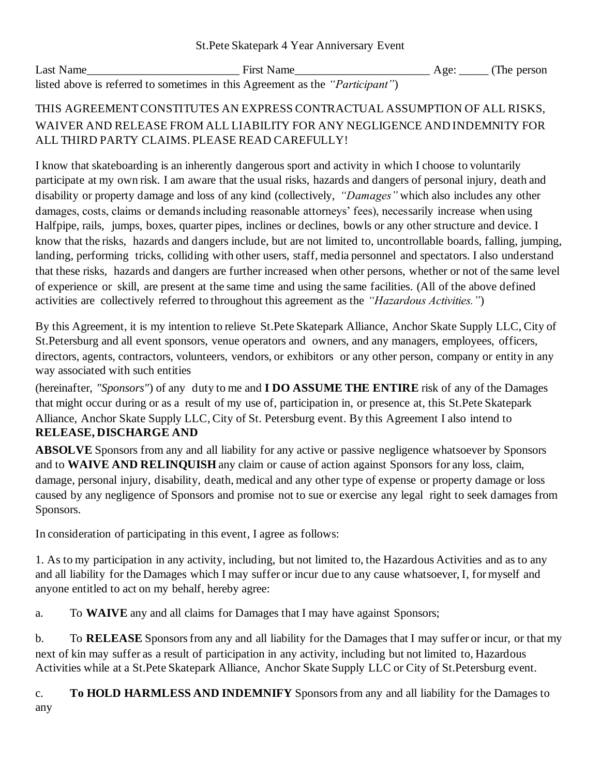| Last Name                                                                              | <b>First Name</b> | $Age:$ (The person |
|----------------------------------------------------------------------------------------|-------------------|--------------------|
| listed above is referred to sometimes in this Agreement as the " <i>Participant</i> ") |                   |                    |

## THIS AGREEMENT CONSTITUTES AN EXPRESS CONTRACTUAL ASSUMPTION OF ALL RISKS, WAIVER AND RELEASE FROM ALL LIABILITY FOR ANY NEGLIGENCE AND INDEMNITY FOR ALL THIRD PARTY CLAIMS. PLEASE READ CAREFULLY!

I know that skateboarding is an inherently dangerous sport and activity in which I choose to voluntarily participate at my own risk. I am aware that the usual risks, hazards and dangers of personal injury, death and disability or property damage and loss of any kind (collectively, *"Damages"* which also includes any other damages, costs, claims or demands including reasonable attorneys' fees), necessarily increase when using Halfpipe, rails, jumps, boxes, quarter pipes, inclines or declines, bowls or any other structure and device. I know that the risks, hazards and dangers include, but are not limited to, uncontrollable boards, falling, jumping, landing, performing tricks, colliding with other users, staff, media personnel and spectators. I also understand that these risks, hazards and dangers are further increased when other persons, whether or not of the same level of experience or skill, are present at the same time and using the same facilities. (All of the above defined activities are collectively referred to throughout this agreement as the *"Hazardous Activities."*)

By this Agreement, it is my intention to relieve St.Pete Skatepark Alliance, Anchor Skate Supply LLC, City of St.Petersburg and all event sponsors, venue operators and owners, and any managers, employees, officers, directors, agents, contractors, volunteers, vendors, or exhibitors or any other person, company or entity in any way associated with such entities

(hereinafter, *"Sponsors"*) of any duty to me and **I DO ASSUME THE ENTIRE** risk of any of the Damages that might occur during or as a result of my use of, participation in, or presence at, this St.Pete Skatepark Alliance, Anchor Skate Supply LLC, City of St. Petersburg event. By this Agreement I also intend to **RELEASE, DISCHARGE AND**

**ABSOLVE** Sponsors from any and all liability for any active or passive negligence whatsoever by Sponsors and to **WAIVE AND RELINQUISH** any claim or cause of action against Sponsors for any loss, claim, damage, personal injury, disability, death, medical and any other type of expense or property damage or loss caused by any negligence of Sponsors and promise not to sue or exercise any legal right to seek damages from Sponsors.

In consideration of participating in this event, I agree as follows:

1. As to my participation in any activity, including, but not limited to, the Hazardous Activities and as to any and all liability for the Damages which I may suffer or incur due to any cause whatsoever, I, for myself and anyone entitled to act on my behalf, hereby agree:

a. To **WAIVE** any and all claims for Damages that I may have against Sponsors;

b. To **RELEASE** Sponsors from any and all liability for the Damages that I may suffer or incur, or that my next of kin may suffer as a result of participation in any activity, including but not limited to, Hazardous Activities while at a St.Pete Skatepark Alliance, Anchor Skate Supply LLC or City of St.Petersburg event.

c. **To HOLD HARMLESS AND INDEMNIFY** Sponsors from any and all liability for the Damages to any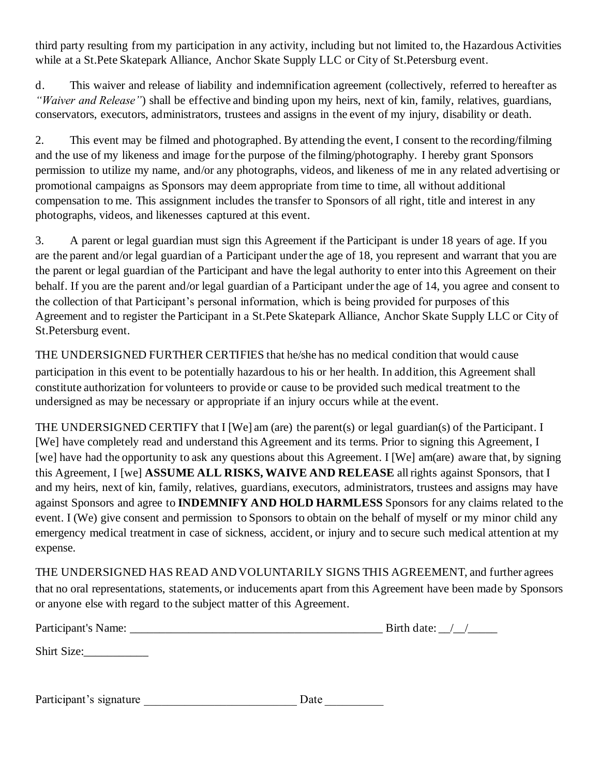third party resulting from my participation in any activity, including but not limited to, the Hazardous Activities while at a St.Pete Skatepark Alliance, Anchor Skate Supply LLC or City of St.Petersburg event.

d. This waiver and release of liability and indemnification agreement (collectively, referred to hereafter as *"Waiver and Release"*) shall be effective and binding upon my heirs, next of kin, family, relatives, guardians, conservators, executors, administrators, trustees and assigns in the event of my injury, disability or death.

2. This event may be filmed and photographed. By attending the event, I consent to the recording/filming and the use of my likeness and image for the purpose of the filming/photography. I hereby grant Sponsors permission to utilize my name, and/or any photographs, videos, and likeness of me in any related advertising or promotional campaigns as Sponsors may deem appropriate from time to time, all without additional compensation to me. This assignment includes the transfer to Sponsors of all right, title and interest in any photographs, videos, and likenesses captured at this event.

3. A parent or legal guardian must sign this Agreement if the Participant is under 18 years of age. If you are the parent and/or legal guardian of a Participant under the age of 18, you represent and warrant that you are the parent or legal guardian of the Participant and have the legal authority to enter into this Agreement on their behalf. If you are the parent and/or legal guardian of a Participant under the age of 14, you agree and consent to the collection of that Participant's personal information, which is being provided for purposes of this Agreement and to register the Participant in a St.Pete Skatepark Alliance, Anchor Skate Supply LLC or City of St.Petersburg event.

THE UNDERSIGNED FURTHER CERTIFIES that he/she has no medical condition that would cause participation in this event to be potentially hazardous to his or her health. In addition, this Agreement shall constitute authorization for volunteers to provide or cause to be provided such medical treatment to the undersigned as may be necessary or appropriate if an injury occurs while at the event.

THE UNDERSIGNED CERTIFY that I [We] am (are) the parent(s) or legal guardian(s) of the Participant. I [We] have completely read and understand this Agreement and its terms. Prior to signing this Agreement, I [we] have had the opportunity to ask any questions about this Agreement. I [We] am(are) aware that, by signing this Agreement, I [we] **ASSUME ALL RISKS, WAIVE AND RELEASE** all rights against Sponsors, that I and my heirs, next of kin, family, relatives, guardians, executors, administrators, trustees and assigns may have against Sponsors and agree to **INDEMNIFY AND HOLD HARMLESS** Sponsors for any claims related to the event. I (We) give consent and permission to Sponsors to obtain on the behalf of myself or my minor child any emergency medical treatment in case of sickness, accident, or injury and to secure such medical attention at my expense.

THE UNDERSIGNED HAS READ AND VOLUNTARILY SIGNS THIS AGREEMENT, and further agrees that no oral representations, statements, or inducements apart from this Agreement have been made by Sponsors or anyone else with regard to the subject matter of this Agreement.

| Participant's Name: | Birth date: |
|---------------------|-------------|
| Shirt Size:         |             |

| Participant's signature | Date |  |
|-------------------------|------|--|
|-------------------------|------|--|